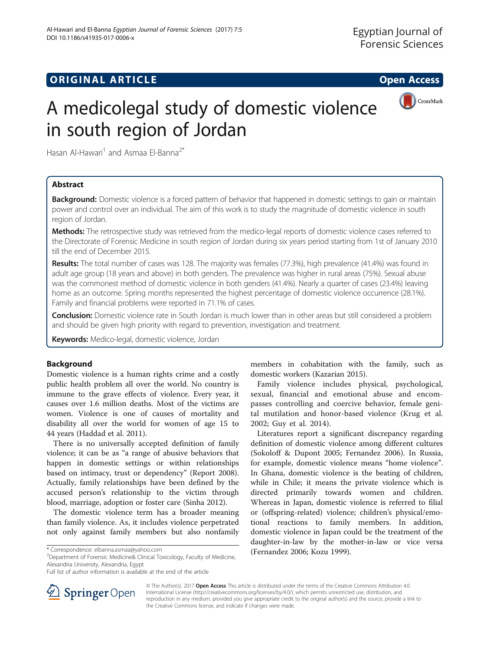## **ORIGINAL ARTICLE CONSERVANCE IN A LOCAL CONSERVANCE IN A LOCAL CONSERVANCE IN A LOCAL CONSERVANCE IN A LOCAL CONS**



# A medicolegal study of domestic violence in south region of Jordan

Hasan Al-Hawari<sup>1</sup> and Asmaa El-Banna<sup>2\*</sup>

## Abstract

Background: Domestic violence is a forced pattern of behavior that happened in domestic settings to gain or maintain power and control over an individual. The aim of this work is to study the magnitude of domestic violence in south region of Jordan.

Methods: The retrospective study was retrieved from the medico-legal reports of domestic violence cases referred to the Directorate of Forensic Medicine in south region of Jordan during six years period starting from 1st of January 2010 till the end of December 2015.

Results: The total number of cases was 128. The majority was females (77.3%), high prevalence (41.4%) was found in adult age group (18 years and above) in both genders. The prevalence was higher in rural areas (75%). Sexual abuse was the commonest method of domestic violence in both genders (41.4%). Nearly a quarter of cases (23.4%) leaving home as an outcome. Spring months represented the highest percentage of domestic violence occurrence (28.1%). Family and financial problems were reported in 71.1% of cases.

**Conclusion:** Domestic violence rate in South Jordan is much lower than in other areas but still considered a problem and should be given high priority with regard to prevention, investigation and treatment.

Keywords: Medico-legal, domestic violence, Jordan

## Background

Domestic violence is a human rights crime and a costly public health problem all over the world. No country is immune to the grave effects of violence. Every year, it causes over 1.6 million deaths. Most of the victims are women. Violence is one of causes of mortality and disability all over the world for women of age 15 to 44 years (Haddad et al. [2011](#page-10-0)).

There is no universally accepted definition of family violence; it can be as "a range of abusive behaviors that happen in domestic settings or within relationships based on intimacy, trust or dependency" (Report [2008](#page-10-0)). Actually, family relationships have been defined by the accused person's relationship to the victim through blood, marriage, adoption or foster care (Sinha [2012](#page-10-0)).

The domestic violence term has a broader meaning than family violence. As, it includes violence perpetrated not only against family members but also nonfamily

\* Correspondence: [elbanna.asmaa@yahoo.com](mailto:elbanna.asmaa@yahoo.com)<br><sup>2</sup>Department of Forensic Medicine& Clinical Toxicology, Faculty of Medicine, **(Fernandez [2006;](#page-10-0) Kozu [1999\)](#page-10-0).** Alexandria University, Alexandria, Egypt

members in cohabitation with the family, such as domestic workers (Kazarian [2015](#page-10-0)).

Family violence includes physical, psychological, sexual, financial and emotional abuse and encompasses controlling and coercive behavior, female genital mutilation and honor-based violence (Krug et al. [2002;](#page-10-0) Guy et al. [2014\)](#page-10-0).

Literatures report a significant discrepancy regarding definition of domestic violence among different cultures (Sokoloff & Dupont [2005;](#page-10-0) Fernandez [2006](#page-10-0)). In Russia, for example, domestic violence means "home violence". In Ghana, domestic violence is the beating of children, while in Chile; it means the private violence which is directed primarily towards women and children. Whereas in Japan, domestic violence is referred to filial or (offspring-related) violence; children's physical/emotional reactions to family members. In addition, domestic violence in Japan could be the treatment of the daughter-in-law by the mother-in-law or vice versa



© The Author(s). 2017 **Open Access** This article is distributed under the terms of the Creative Commons Attribution 4.0 International License ([http://creativecommons.org/licenses/by/4.0/\)](http://creativecommons.org/licenses/by/4.0/), which permits unrestricted use, distribution, and reproduction in any medium, provided you give appropriate credit to the original author(s) and the source, provide a link to the Creative Commons license, and indicate if changes were made.

Full list of author information is available at the end of the article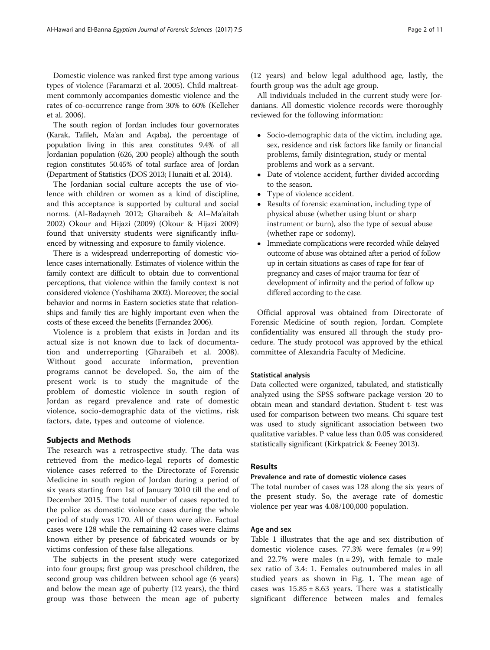Domestic violence was ranked first type among various types of violence (Faramarzi et al. [2005\)](#page-10-0). Child maltreatment commonly accompanies domestic violence and the rates of co-occurrence range from 30% to 60% (Kelleher et al. [2006\)](#page-10-0).

The south region of Jordan includes four governorates (Karak, Tafileh, Ma'an and Aqaba), the percentage of population living in this area constitutes 9.4% of all Jordanian population (626, 200 people) although the south region constitutes 50.45% of total surface area of Jordan (Department of Statistics (DOS [2013](#page-10-0); Hunaiti et al. [2014](#page-10-0)).

The Jordanian social culture accepts the use of violence with children or women as a kind of discipline, and this acceptance is supported by cultural and social norms. (Al-Badayneh [2012;](#page-10-0) Gharaibeh & Al–Ma'aitah [2002](#page-10-0)) Okour and Hijazi [\(2009\)](#page-10-0) (Okour & Hijazi [2009](#page-10-0)) found that university students were significantly influenced by witnessing and exposure to family violence.

There is a widespread underreporting of domestic violence cases internationally. Estimates of violence within the family context are difficult to obtain due to conventional perceptions, that violence within the family context is not considered violence (Yoshihama [2002](#page-10-0)). Moreover, the social behavior and norms in Eastern societies state that relationships and family ties are highly important even when the costs of these exceed the benefits (Fernandez [2006\)](#page-10-0).

Violence is a problem that exists in Jordan and its actual size is not known due to lack of documentation and underreporting (Gharaibeh et al. [2008](#page-10-0)). Without good accurate information, prevention programs cannot be developed. So, the aim of the present work is to study the magnitude of the problem of domestic violence in south region of Jordan as regard prevalence and rate of domestic violence, socio-demographic data of the victims, risk factors, date, types and outcome of violence.

## Subjects and Methods

The research was a retrospective study. The data was retrieved from the medico-legal reports of domestic violence cases referred to the Directorate of Forensic Medicine in south region of Jordan during a period of six years starting from 1st of January 2010 till the end of December 2015. The total number of cases reported to the police as domestic violence cases during the whole period of study was 170. All of them were alive. Factual cases were 128 while the remaining 42 cases were claims known either by presence of fabricated wounds or by victims confession of these false allegations.

The subjects in the present study were categorized into four groups; first group was preschool children, the second group was children between school age (6 years) and below the mean age of puberty (12 years), the third group was those between the mean age of puberty

(12 years) and below legal adulthood age, lastly, the fourth group was the adult age group.

All individuals included in the current study were Jordanians. All domestic violence records were thoroughly reviewed for the following information:

- Socio-demographic data of the victim, including age, sex, residence and risk factors like family or financial problems, family disintegration, study or mental problems and work as a servant.
- Date of violence accident, further divided according to the season.
- Type of violence accident.<br>• Results of forensic examin
- Results of forensic examination, including type of physical abuse (whether using blunt or sharp instrument or burn), also the type of sexual abuse (whether rape or sodomy).
- Immediate complications were recorded while delayed outcome of abuse was obtained after a period of follow up in certain situations as cases of rape for fear of pregnancy and cases of major trauma for fear of development of infirmity and the period of follow up differed according to the case.

Official approval was obtained from Directorate of Forensic Medicine of south region, Jordan. Complete confidentiality was ensured all through the study procedure. The study protocol was approved by the ethical committee of Alexandria Faculty of Medicine.

## Statistical analysis

Data collected were organized, tabulated, and statistically analyzed using the SPSS software package version 20 to obtain mean and standard deviation. Student t- test was used for comparison between two means. Chi square test was used to study significant association between two qualitative variables. P value less than 0.05 was considered statistically significant (Kirkpatrick & Feeney [2013\)](#page-10-0).

## Results

## Prevalence and rate of domestic violence cases

The total number of cases was 128 along the six years of the present study. So, the average rate of domestic violence per year was 4.08/100,000 population.

#### Age and sex

Table [1](#page-2-0) illustrates that the age and sex distribution of domestic violence cases. 77.3% were females  $(n = 99)$ and 22.7% were males  $(n = 29)$ , with female to male sex ratio of 3.4: 1. Females outnumbered males in all studied years as shown in Fig. [1](#page-2-0). The mean age of cases was  $15.85 \pm 8.63$  years. There was a statistically significant difference between males and females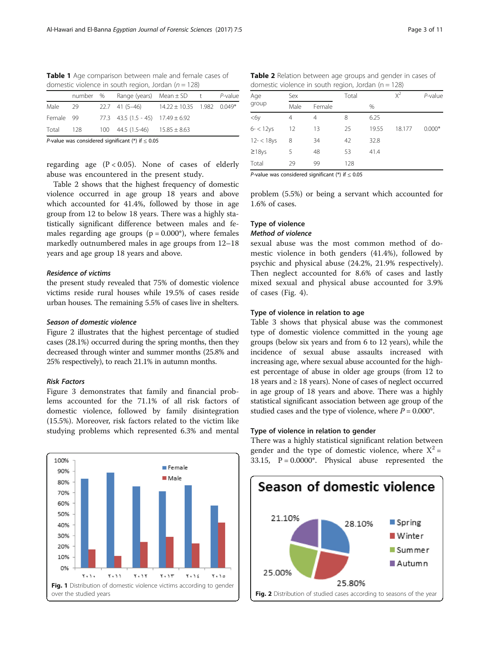<span id="page-2-0"></span>Table 1 Age comparison between male and female cases of domestic violence in south region, Jordan ( $n = 128$ )

|           |  | number % Range (years) Mean $\pm$ SD t  |                                | P-value |
|-----------|--|-----------------------------------------|--------------------------------|---------|
| Male 29   |  | 22.7 41 (5-46)                          | $14.22 \pm 10.35$ 1.982 0.049* |         |
| Female 99 |  | 77.3 43.5 $(1.5 - 45)$ 17.49 $\pm$ 6.92 |                                |         |
| Total 128 |  | $100$ 44.5 (1.5-46) $15.85 \pm 8.63$    |                                |         |
|           |  |                                         |                                |         |

regarding age  $(P < 0.05)$ . None of cases of elderly abuse was encountered in the present study.

Table 2 shows that the highest frequency of domestic violence occurred in age group 18 years and above which accounted for 41.4%, followed by those in age group from 12 to below 18 years. There was a highly statistically significant difference between males and females regarding age groups ( $p = 0.000^*$ ), where females markedly outnumbered males in age groups from 12–18 years and age group 18 years and above.

## Residence of victims

the present study revealed that 75% of domestic violence victims reside rural houses while 19.5% of cases reside urban houses. The remaining 5.5% of cases live in shelters.

#### Season of domestic violence

Figure 2 illustrates that the highest percentage of studied cases (28.1%) occurred during the spring months, then they decreased through winter and summer months (25.8% and 25% respectively), to reach 21.1% in autumn months.

#### Risk Factors

Figure [3](#page-3-0) demonstrates that family and financial problems accounted for the 71.1% of all risk factors of domestic violence, followed by family disintegration (15.5%). Moreover, risk factors related to the victim like studying problems which represented 6.3% and mental



Table 2 Relation between age groups and gender in cases of domestic violence in south region, Jordan ( $n = 128$ )

| Age<br>group   | Sex  |        | Total |       | $X^2$  | $P$ -value |
|----------------|------|--------|-------|-------|--------|------------|
|                | Male | Female |       | %     |        |            |
| $<$ 6 $y$      | 4    | 4      | 8     | 6.25  |        |            |
| $6 - 12$ ys    | 12   | 13     | 25    | 19.55 | 18.177 | $0.000*$   |
| $12 - < 18$ ys | 8    | 34     | 42    | 32.8  |        |            |
| $\geq$ 18ys    | 5    | 48     | 53    | 41.4  |        |            |
| Total          | 29   | 99     | 128   |       |        |            |

P-value was considered significant (\*) if  $\leq 0.05$ 

problem (5.5%) or being a servant which accounted for 1.6% of cases.

## Type of violence

#### Method of violence

sexual abuse was the most common method of domestic violence in both genders (41.4%), followed by psychic and physical abuse (24.2%, 21.9% respectively). Then neglect accounted for 8.6% of cases and lastly mixed sexual and physical abuse accounted for 3.9% of cases (Fig. [4](#page-3-0)).

#### Type of violence in relation to age

Table [3](#page-4-0) shows that physical abuse was the commonest type of domestic violence committed in the young age groups (below six years and from 6 to 12 years), while the incidence of sexual abuse assaults increased with increasing age, where sexual abuse accounted for the highest percentage of abuse in older age groups (from 12 to 18 years and  $\geq$  18 years). None of cases of neglect occurred in age group of 18 years and above. There was a highly statistical significant association between age group of the studied cases and the type of violence, where  $P = 0.000^*$ .

#### Type of violence in relation to gender

There was a highly statistical significant relation between gender and the type of domestic violence, where  $X^2 =$ 33.15,  $P = 0.0000$ <sup>\*</sup>. Physical abuse represented the

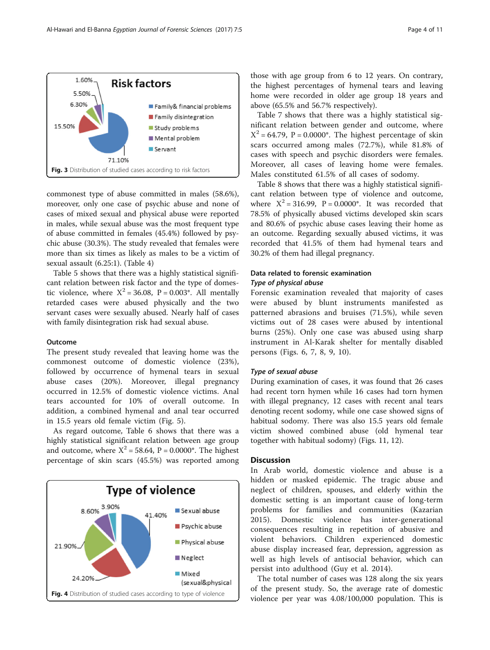<span id="page-3-0"></span>Al-Hawari and El-Banna Egyptian Journal of Forensic Sciences (2017) 7:5 Page 4 of 11



commonest type of abuse committed in males (58.6%), moreover, only one case of psychic abuse and none of cases of mixed sexual and physical abuse were reported in males, while sexual abuse was the most frequent type of abuse committed in females (45.4%) followed by psychic abuse (30.3%). The study revealed that females were more than six times as likely as males to be a victim of sexual assault (6.25:1). (Table [4\)](#page-4-0)

Table [5](#page-5-0) shows that there was a highly statistical significant relation between risk factor and the type of domestic violence, where  $X^2 = 36.08$ ,  $P = 0.003^*$ . All mentally retarded cases were abused physically and the two servant cases were sexually abused. Nearly half of cases with family disintegration risk had sexual abuse.

#### **Outcome**

The present study revealed that leaving home was the commonest outcome of domestic violence (23%), followed by occurrence of hymenal tears in sexual abuse cases (20%). Moreover, illegal pregnancy occurred in 12.5% of domestic violence victims. Anal tears accounted for 10% of overall outcome. In addition, a combined hymenal and anal tear occurred in 15.5 years old female victim (Fig. [5](#page-5-0)).

As regard outcome, Table [6](#page-6-0) shows that there was a highly statistical significant relation between age group and outcome, where  $X^2 = 58.64$ ,  $P = 0.0000^*$ . The highest percentage of skin scars (45.5%) was reported among



those with age group from 6 to 12 years. On contrary, the highest percentages of hymenal tears and leaving home were recorded in older age group 18 years and above (65.5% and 56.7% respectively).

Table [7](#page-6-0) shows that there was a highly statistical significant relation between gender and outcome, where  $X^2 = 64.79$ , P = 0.0000<sup>\*</sup>. The highest percentage of skin scars occurred among males (72.7%), while 81.8% of cases with speech and psychic disorders were females. Moreover, all cases of leaving home were females. Males constituted 61.5% of all cases of sodomy.

Table [8](#page-7-0) shows that there was a highly statistical significant relation between type of violence and outcome, where  $X^2 = 316.99$ ,  $P = 0.0000^*$ . It was recorded that 78.5% of physically abused victims developed skin scars and 80.6% of psychic abuse cases leaving their home as an outcome. Regarding sexually abused victims, it was recorded that 41.5% of them had hymenal tears and 30.2% of them had illegal pregnancy.

## Data related to forensic examination Type of physical abuse

Forensic examination revealed that majority of cases were abused by blunt instruments manifested as patterned abrasions and bruises (71.5%), while seven victims out of 28 cases were abused by intentional burns (25%). Only one case was abused using sharp instrument in Al-Karak shelter for mentally disabled persons (Figs. [6, 7,](#page-7-0) [8, 9](#page-8-0), [10](#page-8-0)).

## Type of sexual abuse

During examination of cases, it was found that 26 cases had recent torn hymen while 16 cases had torn hymen with illegal pregnancy, 12 cases with recent anal tears denoting recent sodomy, while one case showed signs of habitual sodomy. There was also 15.5 years old female victim showed combined abuse (old hymenal tear together with habitual sodomy) (Figs. [11](#page-8-0), [12](#page-9-0)).

## **Discussion**

In Arab world, domestic violence and abuse is a hidden or masked epidemic. The tragic abuse and neglect of children, spouses, and elderly within the domestic setting is an important cause of long-term problems for families and communities (Kazarian [2015\)](#page-10-0). Domestic violence has inter-generational consequences resulting in repetition of abusive and violent behaviors. Children experienced domestic abuse display increased fear, depression, aggression as well as high levels of antisocial behavior, which can persist into adulthood (Guy et al. [2014\)](#page-10-0).

The total number of cases was 128 along the six years of the present study. So, the average rate of domestic violence per year was 4.08/100,000 population. This is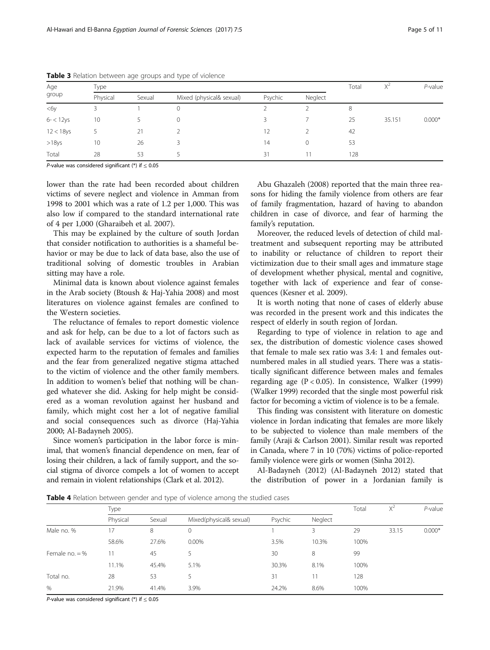| Age           | Type     |        | Total                               | $X^2$ | $P$ -value |     |        |          |
|---------------|----------|--------|-------------------------------------|-------|------------|-----|--------|----------|
| group         | Physical | Sexual | Mixed (physical& sexual)<br>Psychic |       | Neglect    |     |        |          |
| $<$ 6 $y$     |          |        | 0                                   |       |            | 8   |        |          |
| $6 - < 12$ ys | 10       |        | 0                                   | 3     |            | 25  | 35.151 | $0.000*$ |
| $12 < 18$ ys  |          | 21     |                                     | 12    |            | 42  |        |          |
| $>18$ ys      | 10       | 26     | ₹                                   | 14    | $\Omega$   | 53  |        |          |
| Total         | 28       | 53     | $\sim$                              | 31    |            | 128 |        |          |

<span id="page-4-0"></span>Table 3 Relation between age groups and type of violence

lower than the rate had been recorded about children victims of severe neglect and violence in Amman from 1998 to 2001 which was a rate of 1.2 per 1,000. This was also low if compared to the standard international rate of 4 per 1,000 (Gharaibeh et al. [2007](#page-10-0)).

This may be explained by the culture of south Jordan that consider notification to authorities is a shameful behavior or may be due to lack of data base, also the use of traditional solving of domestic troubles in Arabian sitting may have a role.

Minimal data is known about violence against females in the Arab society (Btoush & Haj-Yahia [2008\)](#page-10-0) and most literatures on violence against females are confined to the Western societies.

The reluctance of females to report domestic violence and ask for help, can be due to a lot of factors such as lack of available services for victims of violence, the expected harm to the reputation of females and families and the fear from generalized negative stigma attached to the victim of violence and the other family members. In addition to women's belief that nothing will be changed whatever she did. Asking for help might be considered as a woman revolution against her husband and family, which might cost her a lot of negative familial and social consequences such as divorce (Haj-Yahia [2000](#page-10-0); Al-Badayneh [2005\)](#page-10-0).

Since women's participation in the labor force is minimal, that women's financial dependence on men, fear of losing their children, a lack of family support, and the social stigma of divorce compels a lot of women to accept and remain in violent relationships (Clark et al. [2012\)](#page-10-0).

Abu Ghazaleh [\(2008\)](#page-10-0) reported that the main three reasons for hiding the family violence from others are fear of family fragmentation, hazard of having to abandon children in case of divorce, and fear of harming the family's reputation.

Moreover, the reduced levels of detection of child maltreatment and subsequent reporting may be attributed to inability or reluctance of children to report their victimization due to their small ages and immature stage of development whether physical, mental and cognitive, together with lack of experience and fear of consequences (Kesner et al. [2009](#page-10-0)).

It is worth noting that none of cases of elderly abuse was recorded in the present work and this indicates the respect of elderly in south region of Jordan.

Regarding to type of violence in relation to age and sex, the distribution of domestic violence cases showed that female to male sex ratio was 3.4: 1 and females outnumbered males in all studied years. There was a statistically significant difference between males and females regarding age (P < 0.05). In consistence, Walker ([1999](#page-10-0)) (Walker [1999](#page-10-0)) recorded that the single most powerful risk factor for becoming a victim of violence is to be a female.

This finding was consistent with literature on domestic violence in Jordan indicating that females are more likely to be subjected to violence than male members of the family (Araji & Carlson [2001](#page-10-0)). Similar result was reported in Canada, where 7 in 10 (70%) victims of police-reported family violence were girls or women (Sinha [2012\)](#page-10-0).

Al-Badayneh [\(2012\)](#page-10-0) (Al-Badayneh [2012\)](#page-10-0) stated that the distribution of power in a Jordanian family is

Table 4 Relation between gender and type of violence among the studied cases

|                  | Type     |        |                         |         |         | Total | $X^2$ | $P$ -value |
|------------------|----------|--------|-------------------------|---------|---------|-------|-------|------------|
|                  | Physical | Sexual | Mixed(physical& sexual) | Psychic | Neglect |       |       |            |
| Male no. %       | 17       | 8      | 0                       |         | 3       | 29    | 33.15 | $0.000*$   |
|                  | 58.6%    | 27.6%  | 0.00%                   | 3.5%    | 10.3%   | 100%  |       |            |
| Female $no. = %$ | 11       | 45     |                         | 30      | 8       | 99    |       |            |
|                  | 11.1%    | 45.4%  | 5.1%                    | 30.3%   | 8.1%    | 100%  |       |            |
| Total no.        | 28       | 53     |                         | 31      |         | 128   |       |            |
| $\%$             | 21.9%    | 41.4%  | 3.9%                    | 24.2%   | 8.6%    | 100%  |       |            |

P-value was considered significant (\*) if  $\leq 0.05$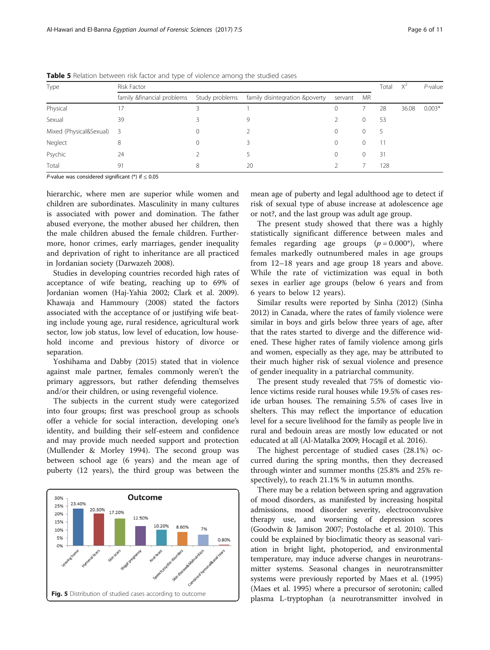| Type                    | Risk Factor                | Total          | $X^2$                          | $P$ -value   |             |     |       |          |
|-------------------------|----------------------------|----------------|--------------------------------|--------------|-------------|-----|-------|----------|
|                         | family &financial problems | Study problems | family disintegration &poverty | servant      | - MR        |     |       |          |
| Physical                | 17                         |                |                                | 0            |             | 28  | 36.08 | $0.003*$ |
| Sexual                  | 39                         |                | 9                              |              | $\mathbf 0$ | 53  |       |          |
| Mixed (Physical&Sexual) | - 3                        |                |                                | 0            | 0           | 5   |       |          |
| Neglect                 | 8                          | 0              |                                | $\mathbf{0}$ | $\mathbf 0$ | -11 |       |          |
| Psychic                 | 24                         |                |                                | $\Omega$     | $\circ$     | 31  |       |          |
| Total                   | -91                        | 8              | 20                             |              |             | 128 |       |          |

<span id="page-5-0"></span>Table 5 Relation between risk factor and type of violence among the studied cases

hierarchic, where men are superior while women and children are subordinates. Masculinity in many cultures is associated with power and domination. The father abused everyone, the mother abused her children, then the male children abused the female children. Furthermore, honor crimes, early marriages, gender inequality and deprivation of right to inheritance are all practiced in Jordanian society (Darwazeh [2008\)](#page-10-0).

Studies in developing countries recorded high rates of acceptance of wife beating, reaching up to 69% of Jordanian women (Haj-Yahia [2002;](#page-10-0) Clark et al. [2009](#page-10-0)). Khawaja and Hammoury ([2008](#page-10-0)) stated the factors associated with the acceptance of or justifying wife beating include young age, rural residence, agricultural work sector, low job status, low level of education, low household income and previous history of divorce or separation.

Yoshihama and Dabby ([2015\)](#page-10-0) stated that in violence against male partner, females commonly weren't the primary aggressors, but rather defending themselves and/or their children, or using revengeful violence.

The subjects in the current study were categorized into four groups; first was preschool group as schools offer a vehicle for social interaction, developing one's identity, and building their self-esteem and confidence and may provide much needed support and protection (Mullender & Morley [1994\)](#page-10-0). The second group was between school age (6 years) and the mean age of puberty (12 years), the third group was between the



mean age of puberty and legal adulthood age to detect if risk of sexual type of abuse increase at adolescence age or not?, and the last group was adult age group.

The present study showed that there was a highly statistically significant difference between males and females regarding age groups  $(p = 0.000^*)$ , where females markedly outnumbered males in age groups from 12–18 years and age group 18 years and above. While the rate of victimization was equal in both sexes in earlier age groups (below 6 years and from 6 years to below 12 years).

Similar results were reported by Sinha [\(2012\)](#page-10-0) (Sinha [2012](#page-10-0)) in Canada, where the rates of family violence were similar in boys and girls below three years of age, after that the rates started to diverge and the difference widened. These higher rates of family violence among girls and women, especially as they age, may be attributed to their much higher risk of sexual violence and presence of gender inequality in a patriarchal community.

The present study revealed that 75% of domestic violence victims reside rural houses while 19.5% of cases reside urban houses. The remaining 5.5% of cases live in shelters. This may reflect the importance of education level for a secure livelihood for the family as people live in rural and bedouin areas are mostly low educated or not educated at all (Al-Matalka [2009](#page-10-0); Hocagil et al. [2016\)](#page-10-0).

The highest percentage of studied cases (28.1%) occurred during the spring months, then they decreased through winter and summer months (25.8% and 25% respectively), to reach 21.1% % in autumn months.

There may be a relation between spring and aggravation of mood disorders, as manifested by increasing hospital admissions, mood disorder severity, electroconvulsive therapy use, and worsening of depression scores (Goodwin & Jamison [2007;](#page-10-0) Postolache et al. [2010\)](#page-10-0). This could be explained by bioclimatic theory as seasonal variation in bright light, photoperiod, and environmental temperature, may induce adverse changes in neurotransmitter systems. Seasonal changes in neurotransmitter systems were previously reported by Maes et al. [\(1995](#page-10-0)) (Maes et al. [1995\)](#page-10-0) where a precursor of serotonin; called plasma L-tryptophan (a neurotransmitter involved in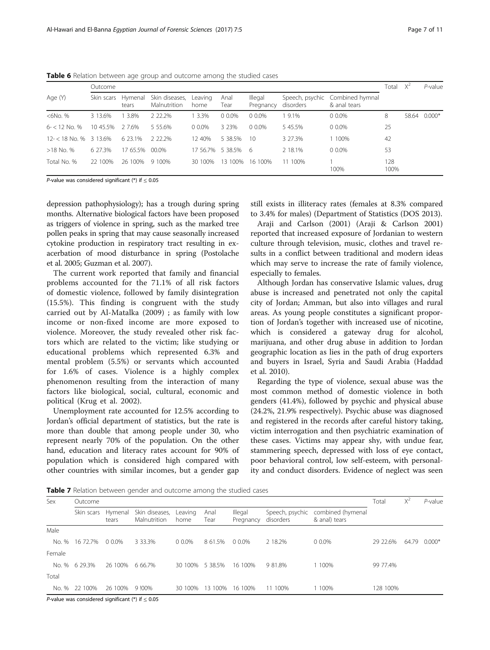<span id="page-6-0"></span>Table 6 Relation between age group and outcome among the studied cases

|                 | Outcome    |                  |                                |                 |              |                      |           |                                                 |             |       |          |
|-----------------|------------|------------------|--------------------------------|-----------------|--------------|----------------------|-----------|-------------------------------------------------|-------------|-------|----------|
| Age (Y)         | Skin scars | Hymenal<br>tears | Skin diseases,<br>Malnutrition | Leaving<br>home | Anal<br>Tear | Illegal<br>Pregnancy | disorders | Speech, psychic Combined hymnal<br>& anal tears |             |       |          |
| $<6$ No. %      | 3 13.6%    | 3.8%             | 2 2 2 . 2 %                    | 1 3.3%          | 0 0.0%       | $0.0\%$              | 19.1%     | $0.0\%$                                         | 8           | 58.64 | $0.000*$ |
| $6 - 12$ No. %  | 10 45.5%   | 2 7.6%           | 5 55.6%                        | 0 0.0%          | 3 2 3%       | $0.0\%$              | 5 45.5%   | $0.0\%$                                         | 25          |       |          |
| $12 - 18$ No. % | 3 13.6%    | 6 23.1%          | 2222%                          | 12 40%          | 5 38 5%      | -10                  | 3 27 3%   | 1 100%                                          | 42          |       |          |
| $>18$ No. %     | 6 27.3%    | 17 65.5%         | 00.0%                          | 17.56.7%        | 5 38.5%      | - 6                  | 2 18.1%   | $0.0\%$                                         | 53          |       |          |
| Total No. %     | 22 100%    | 26 100%          | 9 100%                         | 30 100%         | 13 100%      | 16 100%              | 11 100%   | 100%                                            | 128<br>100% |       |          |

depression pathophysiology); has a trough during spring months. Alternative biological factors have been proposed as triggers of violence in spring, such as the marked tree pollen peaks in spring that may cause seasonally increased cytokine production in respiratory tract resulting in exacerbation of mood disturbance in spring (Postolache et al. [2005](#page-10-0); Guzman et al. [2007\)](#page-10-0).

The current work reported that family and financial problems accounted for the 71.1% of all risk factors of domestic violence, followed by family disintegration (15.5%). This finding is congruent with the study carried out by Al-Matalka ([2009\)](#page-10-0) ; as family with low income or non-fixed income are more exposed to violence. Moreover, the study revealed other risk factors which are related to the victim; like studying or educational problems which represented 6.3% and mental problem (5.5%) or servants which accounted for 1.6% of cases. Violence is a highly complex phenomenon resulting from the interaction of many factors like biological, social, cultural, economic and political (Krug et al. [2002\)](#page-10-0).

Unemployment rate accounted for 12.5% according to Jordan's official department of statistics, but the rate is more than double that among people under 30, who represent nearly 70% of the population. On the other hand, education and literacy rates account for 90% of population which is considered high compared with other countries with similar incomes, but a gender gap still exists in illiteracy rates (females at 8.3% compared to 3.4% for males) (Department of Statistics (DOS [2013](#page-10-0)).

Araji and Carlson [\(2001\)](#page-10-0) (Araji & Carlson [2001](#page-10-0)) reported that increased exposure of Jordanian to western culture through television, music, clothes and travel results in a conflict between traditional and modern ideas which may serve to increase the rate of family violence, especially to females.

Although Jordan has conservative Islamic values, drug abuse is increased and penetrated not only the capital city of Jordan; Amman, but also into villages and rural areas. As young people constitutes a significant proportion of Jordan's together with increased use of nicotine, which is considered a gateway drug for alcohol, marijuana, and other drug abuse in addition to Jordan geographic location as lies in the path of drug exporters and buyers in Israel, Syria and Saudi Arabia (Haddad et al. [2010\)](#page-10-0).

Regarding the type of violence, sexual abuse was the most common method of domestic violence in both genders (41.4%), followed by psychic and physical abuse (24.2%, 21.9% respectively). Psychic abuse was diagnosed and registered in the records after careful history taking, victim interrogation and then psychiatric examination of these cases. Victims may appear shy, with undue fear, stammering speech, depressed with loss of eye contact, poor behavioral control, low self-esteem, with personality and conduct disorders. Evidence of neglect was seen

Table 7 Relation between gender and outcome among the studied cases

| Sex    | Outcome                                                        |                  |                                |                 |              |                      |                              |                                    | Total    | $X^2$ | $P$ -value |
|--------|----------------------------------------------------------------|------------------|--------------------------------|-----------------|--------------|----------------------|------------------------------|------------------------------------|----------|-------|------------|
|        | Skin scars                                                     | Hymenal<br>tears | Skin diseases,<br>Malnutrition | Leaving<br>home | Anal<br>Tear | Illegal<br>Pregnancy | Speech, psychic<br>disorders | combined (hymenal<br>& anal) tears |          |       |            |
| Male   |                                                                |                  |                                |                 |              |                      |                              |                                    |          |       |            |
| No. %  | 16 72.7%                                                       | 0.00%            | 3 3 3 3 3 %                    | $0.0\%$         | 8 61.5%      | $0.00\%$             | 2 18.2%                      | $0.0\%$                            | 29 22.6% | 64.79 | $0.000*$   |
| Female |                                                                |                  |                                |                 |              |                      |                              |                                    |          |       |            |
|        | No. % 6 29.3%                                                  | 26 100%          | 6 66.7%                        | 30 100%         | 5 38.5%      | 16 100%              | 9 81.8%                      | 100%                               | 99 77.4% |       |            |
| Total  |                                                                |                  |                                |                 |              |                      |                              |                                    |          |       |            |
|        | No. % 22 100%                                                  | 26 100%          | 9 !00%                         | 30 100%         | 13 100%      | 16 100%              | 11 100%                      | 1 100%                             | 128 100% |       |            |
|        | $0.11.1$ $0.07.1$ $0.07.1$ $0.07.1$ $0.07.1$ $0.07.1$ $0.07.1$ |                  |                                |                 |              |                      |                              |                                    |          |       |            |

P-value was considered significant (\*) if  $\leq 0.05$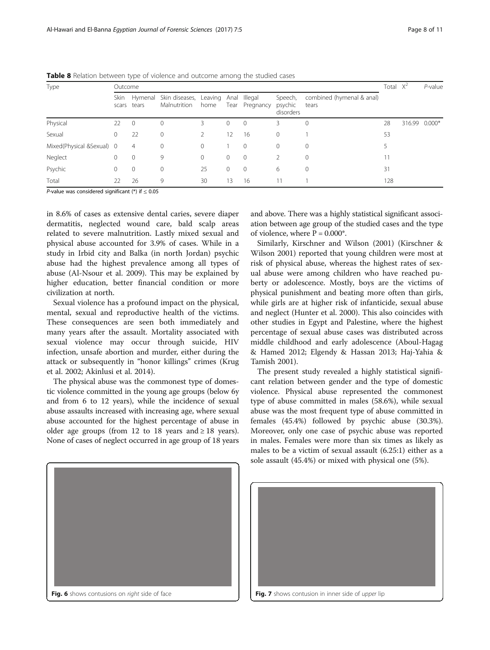| Type                      | Outcome |                        |                                |                 |              |                           |                                 |                                    |     |               | $P$ -value |
|---------------------------|---------|------------------------|--------------------------------|-----------------|--------------|---------------------------|---------------------------------|------------------------------------|-----|---------------|------------|
|                           | Skin    | Hymenal<br>scars tears | Skin diseases,<br>Malnutrition | Leaving<br>home | Anal         | Illegal<br>Tear Pregnancy | Speech,<br>psychic<br>disorders | combined (hymenal & anal)<br>tears |     |               |            |
| Physical                  | 22      | $\overline{0}$         | $\circ$                        | 3               | $\mathbf{0}$ | $\Omega$                  | 3                               | $\mathbf 0$                        | 28  | 316.99 0.000* |            |
| Sexual                    | 0       | 22                     | $\mathbf 0$                    | 2               | 12           | 16                        | 0                               |                                    | 53  |               |            |
| Mixed(Physical &Sexual) 0 |         | $\overline{4}$         | $\mathbf 0$                    | 0               |              | $\mathbf{0}$              | $\mathbf{0}$                    | $\mathbf 0$                        | 5   |               |            |
| Neglect                   | 0       | $\mathbf 0$            | 9                              | $\circ$         | $\circ$      | $\overline{0}$            |                                 | $\mathbf 0$                        | 11  |               |            |
| Psychic                   | 0       | $\mathbf{0}$           | $\mathbf{0}$                   | 25              | $\circ$      | $\mathbf{0}$              | 6                               | $\mathbf{0}$                       | 31  |               |            |
| Total                     | 22      | 26                     | 9                              | 30              | 13           | 16                        | 11                              |                                    | 128 |               |            |

<span id="page-7-0"></span>Table 8 Relation between type of violence and outcome among the studied cases

in 8.6% of cases as extensive dental caries, severe diaper dermatitis, neglected wound care, bald scalp areas related to severe malnutrition. Lastly mixed sexual and physical abuse accounted for 3.9% of cases. While in a study in Irbid city and Balka (in north Jordan) psychic abuse had the highest prevalence among all types of abuse (Al-Nsour et al. [2009\)](#page-10-0). This may be explained by higher education, better financial condition or more civilization at north.

Sexual violence has a profound impact on the physical, mental, sexual and reproductive health of the victims. These consequences are seen both immediately and many years after the assault. Mortality associated with sexual violence may occur through suicide, HIV infection, unsafe abortion and murder, either during the attack or subsequently in "honor killings" crimes (Krug et al. [2002;](#page-10-0) Akinlusi et al. [2014](#page-10-0)).

The physical abuse was the commonest type of domestic violence committed in the young age groups (below 6y and from 6 to 12 years), while the incidence of sexual abuse assaults increased with increasing age, where sexual abuse accounted for the highest percentage of abuse in older age groups (from 12 to 18 years and  $\geq$  18 years). None of cases of neglect occurred in age group of 18 years

and above. There was a highly statistical significant association between age group of the studied cases and the type of violence, where  $P = 0.000$ <sup>\*</sup>.

Similarly, Kirschner and Wilson [\(2001](#page-10-0)) (Kirschner & Wilson [2001\)](#page-10-0) reported that young children were most at risk of physical abuse, whereas the highest rates of sexual abuse were among children who have reached puberty or adolescence. Mostly, boys are the victims of physical punishment and beating more often than girls, while girls are at higher risk of infanticide, sexual abuse and neglect (Hunter et al. [2000](#page-10-0)). This also coincides with other studies in Egypt and Palestine, where the highest percentage of sexual abuse cases was distributed across middle childhood and early adolescence (Aboul-Hagag & Hamed [2012;](#page-10-0) Elgendy & Hassan [2013](#page-10-0); Haj-Yahia & Tamish [2001](#page-10-0)).

The present study revealed a highly statistical significant relation between gender and the type of domestic violence. Physical abuse represented the commonest type of abuse committed in males (58.6%), while sexual abuse was the most frequent type of abuse committed in females (45.4%) followed by psychic abuse (30.3%). Moreover, only one case of psychic abuse was reported in males. Females were more than six times as likely as males to be a victim of sexual assault (6.25:1) either as a sole assault (45.4%) or mixed with physical one (5%).



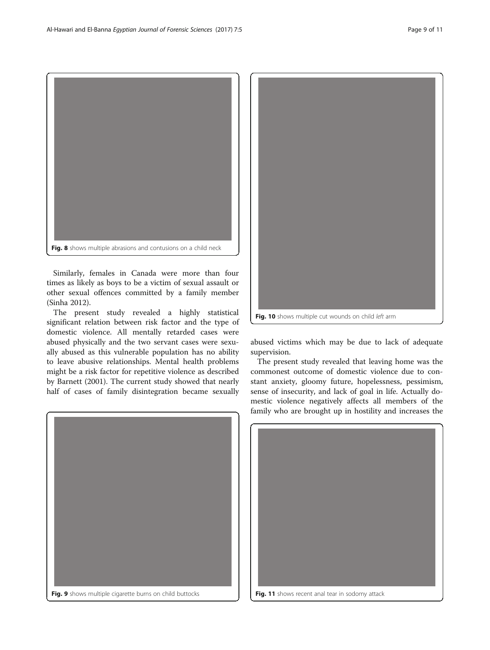<span id="page-8-0"></span>

Similarly, females in Canada were more than four times as likely as boys to be a victim of sexual assault or other sexual offences committed by a family member (Sinha [2012](#page-10-0)).

The present study revealed a highly statistical significant relation between risk factor and the type of domestic violence. All mentally retarded cases were abused physically and the two servant cases were sexually abused as this vulnerable population has no ability to leave abusive relationships. Mental health problems might be a risk factor for repetitive violence as described by Barnett [\(2001\)](#page-10-0). The current study showed that nearly half of cases of family disintegration became sexually





abused victims which may be due to lack of adequate supervision.

The present study revealed that leaving home was the commonest outcome of domestic violence due to constant anxiety, gloomy future, hopelessness, pessimism, sense of insecurity, and lack of goal in life. Actually domestic violence negatively affects all members of the family who are brought up in hostility and increases the

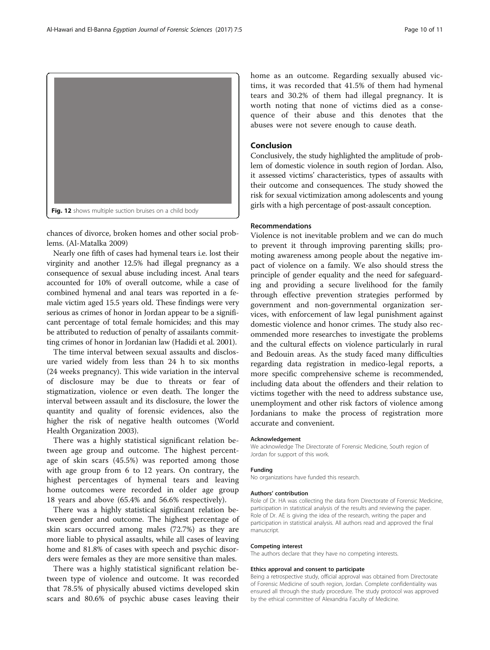chances of divorce, broken homes and other social problems. (Al-Matalka [2009](#page-10-0))

Nearly one fifth of cases had hymenal tears i.e. lost their virginity and another 12.5% had illegal pregnancy as a consequence of sexual abuse including incest. Anal tears accounted for 10% of overall outcome, while a case of combined hymenal and anal tears was reported in a female victim aged 15.5 years old. These findings were very serious as crimes of honor in Jordan appear to be a significant percentage of total female homicides; and this may be attributed to reduction of penalty of assailants committing crimes of honor in Jordanian law (Hadidi et al. [2001\)](#page-10-0).

The time interval between sexual assaults and disclosure varied widely from less than 24 h to six months (24 weeks pregnancy). This wide variation in the interval of disclosure may be due to threats or fear of stigmatization, violence or even death. The longer the interval between assault and its disclosure, the lower the quantity and quality of forensic evidences, also the higher the risk of negative health outcomes (World Health Organization [2003](#page-10-0)).

There was a highly statistical significant relation between age group and outcome. The highest percentage of skin scars (45.5%) was reported among those with age group from 6 to 12 years. On contrary, the highest percentages of hymenal tears and leaving home outcomes were recorded in older age group 18 years and above (65.4% and 56.6% respectively).

There was a highly statistical significant relation between gender and outcome. The highest percentage of skin scars occurred among males (72.7%) as they are more liable to physical assaults, while all cases of leaving home and 81.8% of cases with speech and psychic disorders were females as they are more sensitive than males.

There was a highly statistical significant relation between type of violence and outcome. It was recorded that 78.5% of physically abused victims developed skin scars and 80.6% of psychic abuse cases leaving their home as an outcome. Regarding sexually abused victims, it was recorded that 41.5% of them had hymenal tears and 30.2% of them had illegal pregnancy. It is worth noting that none of victims died as a consequence of their abuse and this denotes that the abuses were not severe enough to cause death.

## Conclusion

Conclusively, the study highlighted the amplitude of problem of domestic violence in south region of Jordan. Also, it assessed victims' characteristics, types of assaults with their outcome and consequences. The study showed the risk for sexual victimization among adolescents and young girls with a high percentage of post-assault conception.

#### Recommendations

Violence is not inevitable problem and we can do much to prevent it through improving parenting skills; promoting awareness among people about the negative impact of violence on a family. We also should stress the principle of gender equality and the need for safeguarding and providing a secure livelihood for the family through effective prevention strategies performed by government and non-governmental organization services, with enforcement of law legal punishment against domestic violence and honor crimes. The study also recommended more researches to investigate the problems and the cultural effects on violence particularly in rural and Bedouin areas. As the study faced many difficulties regarding data registration in medico-legal reports, a more specific comprehensive scheme is recommended, including data about the offenders and their relation to victims together with the need to address substance use, unemployment and other risk factors of violence among Jordanians to make the process of registration more accurate and convenient.

#### Acknowledgement

We acknowledge The Directorate of Forensic Medicine, South region of Jordan for support of this work.

#### Funding

No organizations have funded this research.

#### Authors' contribution

Role of Dr. HA was collecting the data from Directorate of Forensic Medicine, participation in statistical analysis of the results and reviewing the paper. Role of Dr. AE is giving the idea of the research, writing the paper and participation in statistical analysis. All authors read and approved the final manuscript.

#### Competing interest

The authors declare that they have no competing interests.

#### Ethics approval and consent to participate

Being a retrospective study, official approval was obtained from Directorate of Forensic Medicine of south region, Jordan. Complete confidentiality was ensured all through the study procedure. The study protocol was approved by the ethical committee of Alexandria Faculty of Medicine.

Fig. 12 shows multiple suction bruises on a child body

<span id="page-9-0"></span>